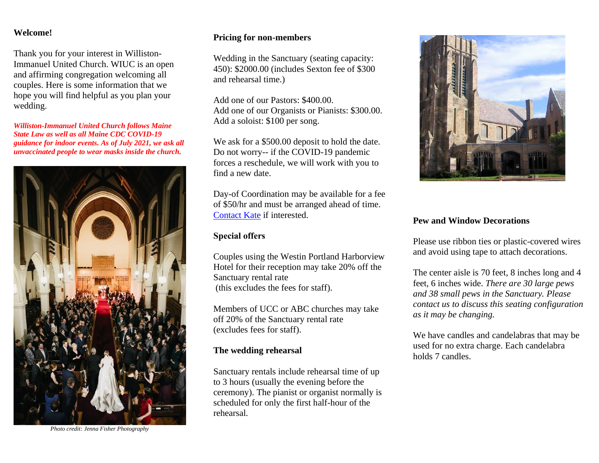#### **Welcome!**

Thank you for your interest in Williston-Immanuel United Church. WIUC is an open and affirming congregation welcoming all couples. Here is some information that we hope you will find helpful as you plan your wedding.

*Williston-Immanuel United Church follows Maine State Law as well as all Maine CDC COVID-19 guidance for indoor events. As of July 2021, we ask all unvaccinated people to wear masks inside the church.* 



*Photo credit: Jenna Fisher Photography*

#### **Pricing for non-members**

Wedding in the Sanctuary (seating capacity: 450): \$2000.00 (includes Sexton fee of \$300 and rehearsal time.)

Add one of our Pastors: \$400.00. Add one of our Organists or Pianists: \$300.00. Add a soloist: \$100 per song.

We ask for a \$500.00 deposit to hold the date. Do not worry-- if the COVID-19 pandemic forces a reschedule, we will work with you to find a new date.

Day-of Coordination may be available for a fee of \$50/hr and must be arranged ahead of time. [Contact Kate](mailto:office@williston-immanuel.org?subject=Day%20of%20Wedding%20Coordination%20inquiry) if interested.

#### **Special offers**

Couples using the Westin Portland Harborview Hotel for their reception may take 20% off the Sanctuary rental rate (this excludes the fees for staff).

Members of UCC or ABC churches may take off 20% of the Sanctuary rental rate (excludes fees for staff).

#### **The wedding rehearsal**

Sanctuary rentals include rehearsal time of up to 3 hours (usually the evening before the ceremony). The pianist or organist normally is scheduled for only the first half-hour of the rehearsal.



#### **Pew and Window Decorations**

Please use ribbon ties or plastic-covered wires and avoid using tape to attach decorations.

The center aisle is 70 feet, 8 inches long and 4 feet, 6 inches wide. *There are 30 large pews and 38 small pews in the Sanctuary. Please contact us to discuss this seating configuration as it may be changing.*

We have candles and candelabras that may be used for no extra charge. Each candelabra holds 7 candles.